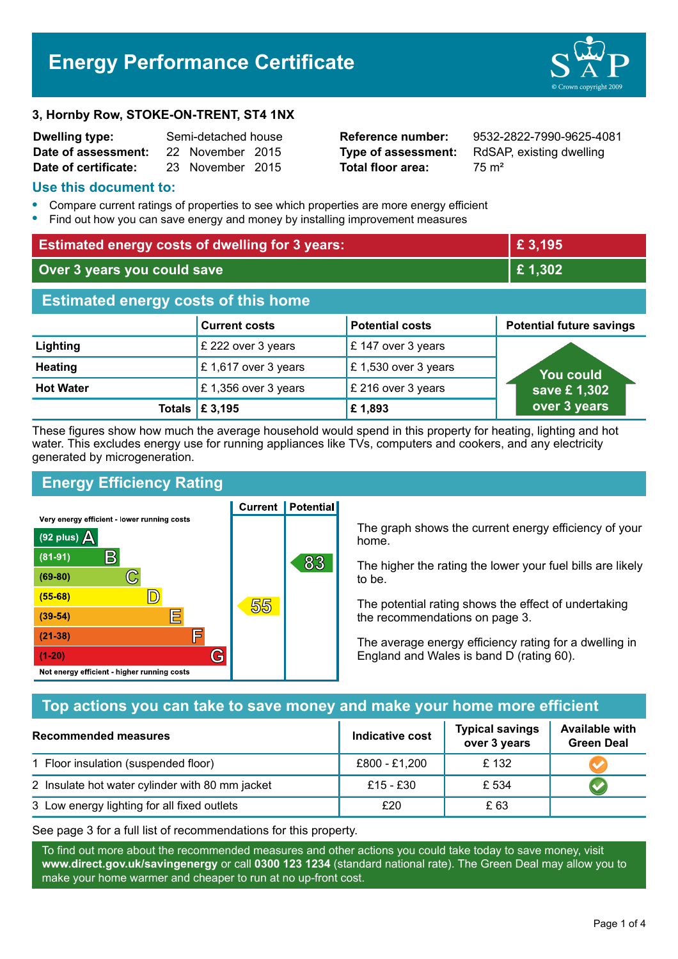# **Energy Performance Certificate**

#### **3, Hornby Row, STOKE-ON-TRENT, ST4 1NX**

| <b>Dwelling type:</b> | Semi-detached house |                  |  |
|-----------------------|---------------------|------------------|--|
| Date of assessment:   |                     | 22 November 2015 |  |
| Date of certificate:  |                     | 23 November 2015 |  |

**Total floor area:** 25 m<sup>2</sup>

**Reference number:** 9532-2822-7990-9625-4081 **Type of assessment:** RdSAP, existing dwelling

#### **Use this document to:**

- **•** Compare current ratings of properties to see which properties are more energy efficient
- **•** Find out how you can save energy and money by installing improvement measures

| <b>Estimated energy costs of dwelling for 3 years:</b> |                           |                        | £ 3,195                         |
|--------------------------------------------------------|---------------------------|------------------------|---------------------------------|
| Over 3 years you could save                            |                           | £1,302                 |                                 |
| <b>Estimated energy costs of this home</b>             |                           |                        |                                 |
|                                                        | <b>Current costs</b>      | <b>Potential costs</b> | <b>Potential future savings</b> |
| Lighting                                               | £ 222 over 3 years        | £ 147 over 3 years     |                                 |
| <b>Heating</b>                                         | £1,617 over 3 years       | £ 1,530 over 3 years   | <b>You could</b>                |
| <b>Hot Water</b>                                       | £1,356 over 3 years       | £ 216 over 3 years     | save £1,302                     |
|                                                        | Totals $\mathsf{E}$ 3,195 | £1,893                 | over 3 years                    |

These figures show how much the average household would spend in this property for heating, lighting and hot water. This excludes energy use for running appliances like TVs, computers and cookers, and any electricity generated by microgeneration.

**Current | Potential** 

# **Energy Efficiency Rating**

Very energy efficient - lower running costs



The graph shows the current energy efficiency of your home.

The higher the rating the lower your fuel bills are likely to be.

The potential rating shows the effect of undertaking the recommendations on page 3.

The average energy efficiency rating for a dwelling in England and Wales is band D (rating 60).

# **Top actions you can take to save money and make your home more efficient**

| Recommended measures                            | <b>Indicative cost</b> | <b>Typical savings</b><br>over 3 years | <b>Available with</b><br><b>Green Deal</b> |
|-------------------------------------------------|------------------------|----------------------------------------|--------------------------------------------|
| 1 Floor insulation (suspended floor)            | £800 - £1,200          | £132                                   |                                            |
| 2 Insulate hot water cylinder with 80 mm jacket | £15 - £30              | £ 534                                  |                                            |
| 3 Low energy lighting for all fixed outlets     | £20                    | £ 63                                   |                                            |

See page 3 for a full list of recommendations for this property.

To find out more about the recommended measures and other actions you could take today to save money, visit **www.direct.gov.uk/savingenergy** or call **0300 123 1234** (standard national rate). The Green Deal may allow you to make your home warmer and cheaper to run at no up-front cost.

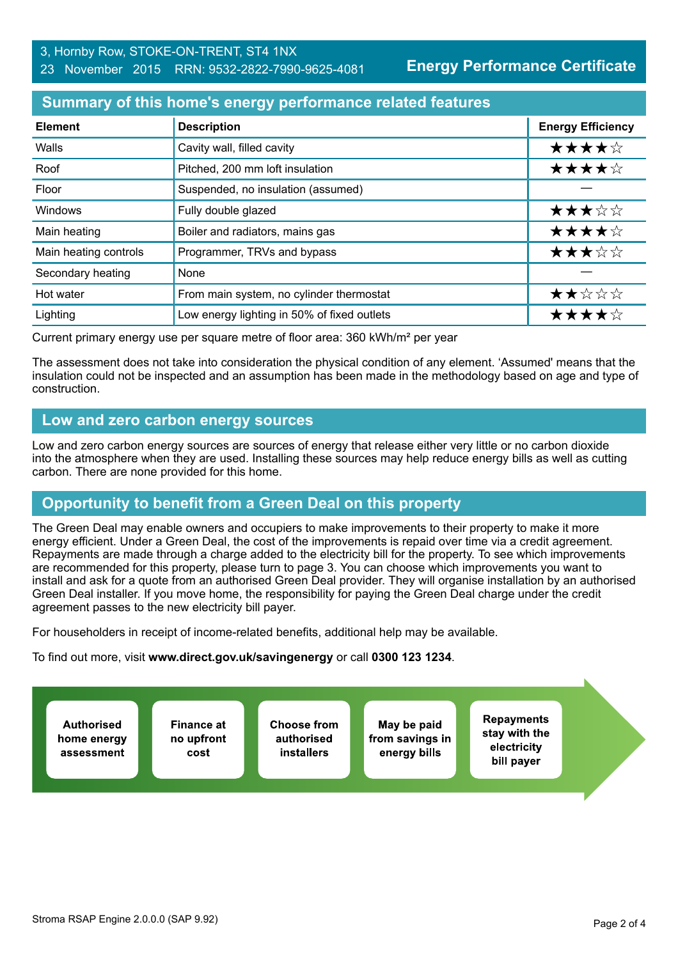**Energy Performance Certificate**

# **Summary of this home's energy performance related features**

| <b>Element</b>        | <b>Description</b>                          | <b>Energy Efficiency</b> |
|-----------------------|---------------------------------------------|--------------------------|
| Walls                 | Cavity wall, filled cavity                  | ★★★★☆                    |
| Roof                  | Pitched, 200 mm loft insulation             | ★★★★☆                    |
| Floor                 | Suspended, no insulation (assumed)          |                          |
| Windows               | Fully double glazed                         | ★★★☆☆                    |
| Main heating          | Boiler and radiators, mains gas             | ★★★★☆                    |
| Main heating controls | Programmer, TRVs and bypass                 | ★★★☆☆                    |
| Secondary heating     | None                                        |                          |
| Hot water             | From main system, no cylinder thermostat    | ★★☆☆☆                    |
| Lighting              | Low energy lighting in 50% of fixed outlets | ★★★★☆                    |

Current primary energy use per square metre of floor area: 360 kWh/m² per year

The assessment does not take into consideration the physical condition of any element. 'Assumed' means that the insulation could not be inspected and an assumption has been made in the methodology based on age and type of construction.

# **Low and zero carbon energy sources**

Low and zero carbon energy sources are sources of energy that release either very little or no carbon dioxide into the atmosphere when they are used. Installing these sources may help reduce energy bills as well as cutting carbon. There are none provided for this home.

# **Opportunity to benefit from a Green Deal on this property**

The Green Deal may enable owners and occupiers to make improvements to their property to make it more energy efficient. Under a Green Deal, the cost of the improvements is repaid over time via a credit agreement. Repayments are made through a charge added to the electricity bill for the property. To see which improvements are recommended for this property, please turn to page 3. You can choose which improvements you want to install and ask for a quote from an authorised Green Deal provider. They will organise installation by an authorised Green Deal installer. If you move home, the responsibility for paying the Green Deal charge under the credit agreement passes to the new electricity bill payer.

For householders in receipt of income-related benefits, additional help may be available.

To find out more, visit **www.direct.gov.uk/savingenergy** or call **0300 123 1234**.

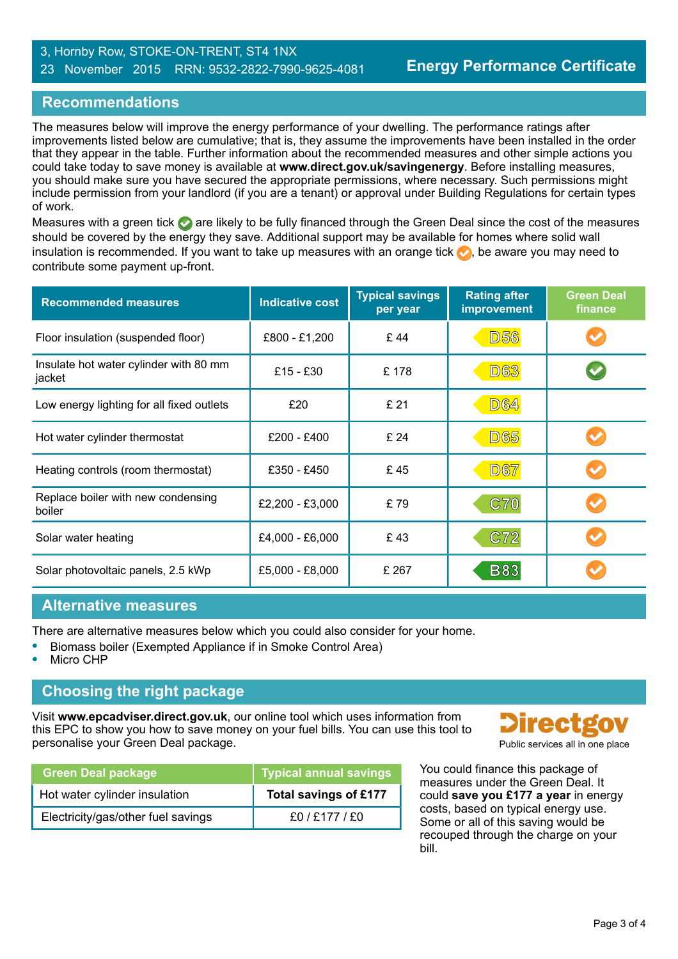#### 3, Hornby Row, STOKE-ON-TRENT, ST4 1NX 23 November 2015 RRN: 9532-2822-7990-9625-4081

# **Recommendations**

The measures below will improve the energy performance of your dwelling. The performance ratings after improvements listed below are cumulative; that is, they assume the improvements have been installed in the order that they appear in the table. Further information about the recommended measures and other simple actions you could take today to save money is available at **www.direct.gov.uk/savingenergy**. Before installing measures, you should make sure you have secured the appropriate permissions, where necessary. Such permissions might include permission from your landlord (if you are a tenant) or approval under Building Regulations for certain types of work.

Measures with a green tick are likely to be fully financed through the Green Deal since the cost of the measures should be covered by the energy they save. Additional support may be available for homes where solid wall insulation is recommended. If you want to take up measures with an orange tick  $\bullet$ , be aware you may need to contribute some payment up-front.

| <b>Recommended measures</b>                      | <b>Indicative cost</b> | <b>Typical savings</b><br>per year | <b>Rating after</b><br>improvement | <b>Green Deal</b><br>finance |
|--------------------------------------------------|------------------------|------------------------------------|------------------------------------|------------------------------|
| Floor insulation (suspended floor)               | £800 - £1,200          | £44                                | <b>D56</b>                         |                              |
| Insulate hot water cylinder with 80 mm<br>jacket | $£15 - £30$            | £178                               | <b>D63</b>                         |                              |
| Low energy lighting for all fixed outlets        | £20                    | £ 21                               | <b>D64</b>                         |                              |
| Hot water cylinder thermostat                    | £200 - £400            | £ 24                               | <b>D65</b>                         |                              |
| Heating controls (room thermostat)               | £350 - £450            | £45                                | <b>D67</b>                         |                              |
| Replace boiler with new condensing<br>boiler     | £2,200 - £3,000        | £79                                | C70                                |                              |
| Solar water heating                              | £4,000 - £6,000        | £43                                | C72                                |                              |
| Solar photovoltaic panels, 2.5 kWp               | £5,000 - £8,000        | £ 267                              | <b>B83</b>                         |                              |

## **Alternative measures**

There are alternative measures below which you could also consider for your home.

- **•** Biomass boiler (Exempted Appliance if in Smoke Control Area)
- **•** Micro CHP

## **Choosing the right package**

Visit **www.epcadviser.direct.gov.uk**, our online tool which uses information from this EPC to show you how to save money on your fuel bills. You can use this tool to personalise your Green Deal package. Public services all in one place

| <b>Green Deal package</b>          | <b>Typical annual savings</b> |
|------------------------------------|-------------------------------|
| Hot water cylinder insulation      | Total savings of £177         |
| Electricity/gas/other fuel savings | f0/F177/F0                    |



You could finance this package of measures under the Green Deal. It could **save you £177 a year** in energy costs, based on typical energy use. Some or all of this saving would be recouped through the charge on your bill.